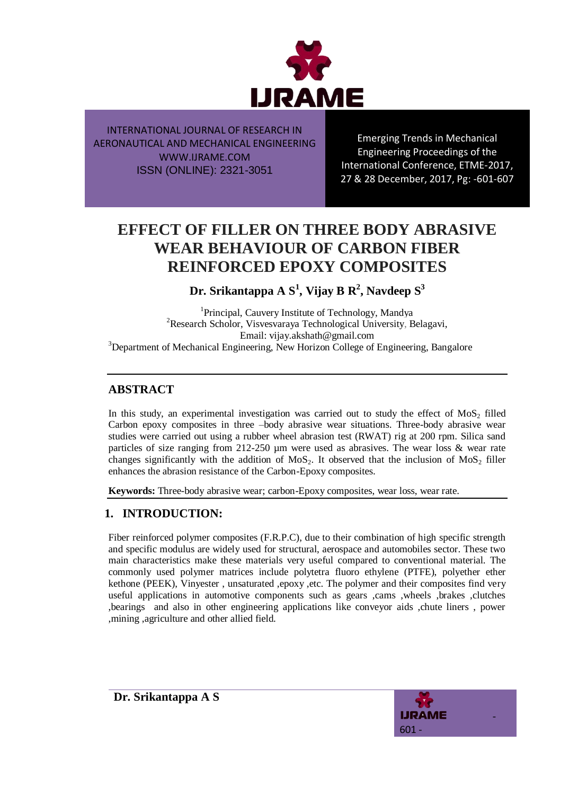

Emerging Trends in Mechanical Engineering Proceedings of the International Conference, ETME-2017, 27 & 28 December, 2017, Pg: -601-607

# **EFFECT OF FILLER ON THREE BODY ABRASIVE WEAR BEHAVIOUR OF CARBON FIBER REINFORCED EPOXY COMPOSITES**

**Dr. Srikantappa A S<sup>1</sup> , Vijay B R<sup>2</sup> , Navdeep S<sup>3</sup>**

<sup>1</sup>Principal, Cauvery Institute of Technology, Mandya <sup>2</sup>Research Scholor, Visvesvaraya Technological University, Belagavi, Email: vijay.akshath@gmail.com <sup>3</sup>Department of Mechanical Engineering, New Horizon College of Engineering, Bangalore

# **ABSTRACT**

In this study, an experimental investigation was carried out to study the effect of  $MoS<sub>2</sub>$  filled Carbon epoxy composites in three –body abrasive wear situations. Three-body abrasive wear studies were carried out using a rubber wheel abrasion test (RWAT) rig at 200 rpm. Silica sand particles of size ranging from 212-250  $\mu$ m were used as abrasives. The wear loss & wear rate changes significantly with the addition of  $M_0S_2$ . It observed that the inclusion of  $M_0S_2$  filler enhances the abrasion resistance of the Carbon-Epoxy composites.

**Keywords:** Three-body abrasive wear; carbon-Epoxy composites, wear loss, wear rate.

# **1. INTRODUCTION:**

Fiber reinforced polymer composites (F.R.P.C), due to their combination of high specific strength and specific modulus are widely used for structural, aerospace and automobiles sector. These two main characteristics make these materials very useful compared to conventional material. The commonly used polymer matrices include polytetra fluoro ethylene (PTFE), polyether ether kethone (PEEK), Vinyester , unsaturated ,epoxy ,etc. The polymer and their composites find very useful applications in automotive components such as gears ,cams ,wheels ,brakes ,clutches ,bearings and also in other engineering applications like conveyor aids ,chute liners , power ,mining ,agriculture and other allied field.

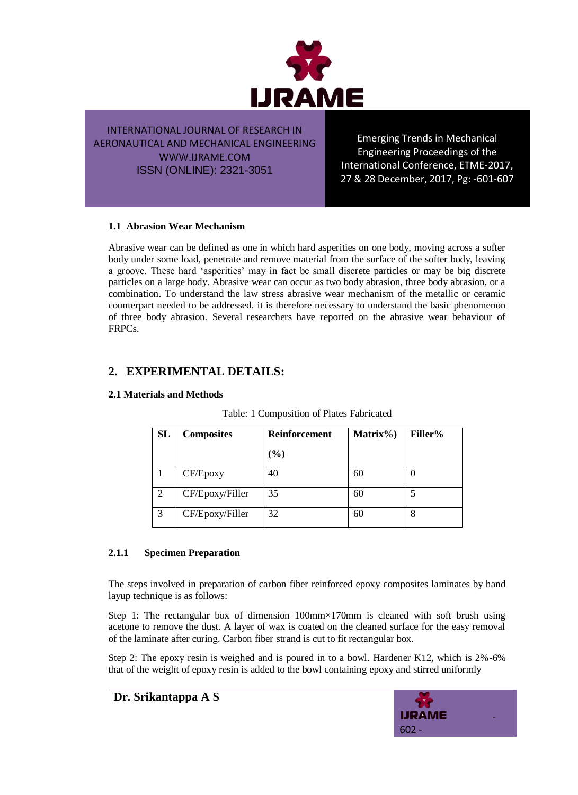

Emerging Trends in Mechanical Engineering Proceedings of the International Conference, ETME-2017, 27 & 28 December, 2017, Pg: -601-607

### **1.1 Abrasion Wear Mechanism**

Abrasive wear can be defined as one in which hard asperities on one body, moving across a softer body under some load, penetrate and remove material from the surface of the softer body, leaving a groove. These hard "asperities" may in fact be small discrete particles or may be big discrete particles on a large body. Abrasive wear can occur as two body abrasion, three body abrasion, or a combination. To understand the law stress abrasive wear mechanism of the metallic or ceramic counterpart needed to be addressed. it is therefore necessary to understand the basic phenomenon of three body abrasion. Several researchers have reported on the abrasive wear behaviour of FRPCs.

### **2. EXPERIMENTAL DETAILS:**

**2.1 Materials and Methods**

| <b>SL</b> | <b>Composites</b> | <b>Reinforcement</b> | Matrix%) | <b>Filler%</b> |
|-----------|-------------------|----------------------|----------|----------------|
|           |                   | $(\%)$               |          |                |
|           | CF/Epoxy          | 40                   | 60       |                |
|           | CF/Epoxy/Filler   | 35                   | 60       |                |
| 3         | CF/Epoxy/Filler   | 32                   | 60       | 8              |

#### Table: 1 Composition of Plates Fabricated

#### **2.1.1 Specimen Preparation**

The steps involved in preparation of carbon fiber reinforced epoxy composites laminates by hand layup technique is as follows:

Step 1: The rectangular box of dimension 100mm×170mm is cleaned with soft brush using acetone to remove the dust. A layer of wax is coated on the cleaned surface for the easy removal of the laminate after curing. Carbon fiber strand is cut to fit rectangular box.

Step 2: The epoxy resin is weighed and is poured in to a bowl. Hardener K12, which is 2%-6% that of the weight of epoxy resin is added to the bowl containing epoxy and stirred uniformly



**Dr. Srikantappa A S**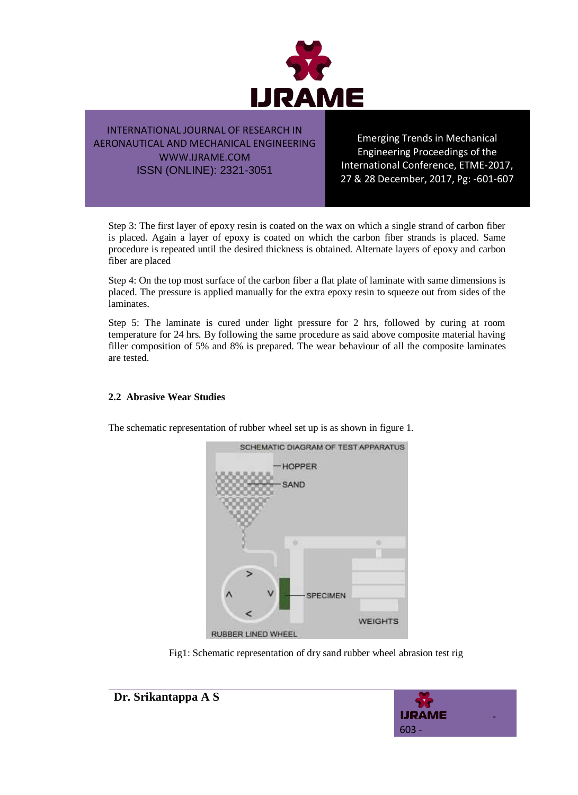

Emerging Trends in Mechanical Engineering Proceedings of the International Conference, ETME-2017, 27 & 28 December, 2017, Pg: -601-607

Step 3: The first layer of epoxy resin is coated on the wax on which a single strand of carbon fiber is placed. Again a layer of epoxy is coated on which the carbon fiber strands is placed. Same procedure is repeated until the desired thickness is obtained. Alternate layers of epoxy and carbon fiber are placed

Step 4: On the top most surface of the carbon fiber a flat plate of laminate with same dimensions is placed. The pressure is applied manually for the extra epoxy resin to squeeze out from sides of the laminates.

Step 5: The laminate is cured under light pressure for 2 hrs, followed by curing at room temperature for 24 hrs. By following the same procedure as said above composite material having filler composition of 5% and 8% is prepared. The wear behaviour of all the composite laminates are tested.

### **2.2 Abrasive Wear Studies**

The schematic representation of rubber wheel set up is as shown in figure 1.



Fig1: Schematic representation of dry sand rubber wheel abrasion test rig



**Dr. Srikantappa A S**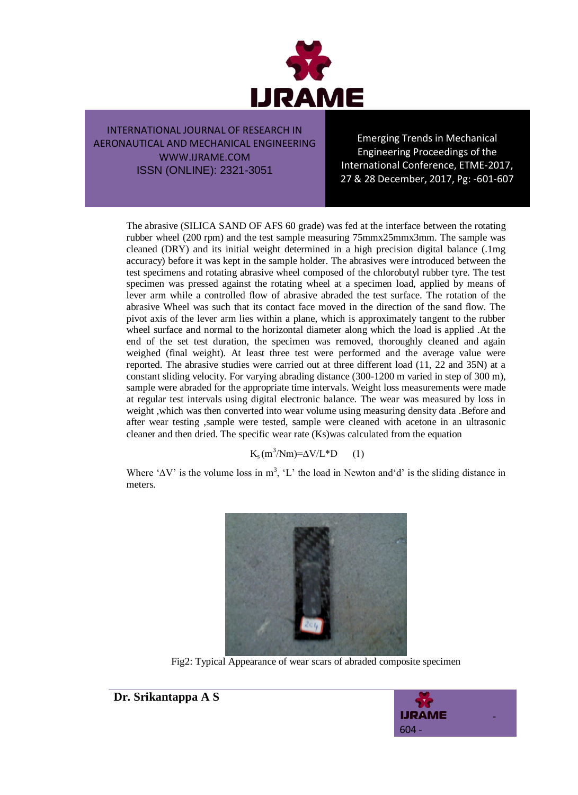

Emerging Trends in Mechanical Engineering Proceedings of the International Conference, ETME-2017, 27 & 28 December, 2017, Pg: -601-607

The abrasive (SILICA SAND OF AFS 60 grade) was fed at the interface between the rotating rubber wheel (200 rpm) and the test sample measuring 75mmx25mmx3mm. The sample was cleaned (DRY) and its initial weight determined in a high precision digital balance (.1mg accuracy) before it was kept in the sample holder. The abrasives were introduced between the test specimens and rotating abrasive wheel composed of the chlorobutyl rubber tyre. The test specimen was pressed against the rotating wheel at a specimen load, applied by means of lever arm while a controlled flow of abrasive abraded the test surface. The rotation of the abrasive Wheel was such that its contact face moved in the direction of the sand flow. The pivot axis of the lever arm lies within a plane, which is approximately tangent to the rubber wheel surface and normal to the horizontal diameter along which the load is applied .At the end of the set test duration, the specimen was removed, thoroughly cleaned and again weighed (final weight). At least three test were performed and the average value were reported. The abrasive studies were carried out at three different load (11, 22 and 35N) at a constant sliding velocity. For varying abrading distance (300-1200 m varied in step of 300 m), sample were abraded for the appropriate time intervals. Weight loss measurements were made at regular test intervals using digital electronic balance. The wear was measured by loss in weight ,which was then converted into wear volume using measuring density data .Before and after wear testing ,sample were tested, sample were cleaned with acetone in an ultrasonic cleaner and then dried. The specific wear rate (Ks)was calculated from the equation

### $K_s(m^3/Nm)=\Delta V/L*D$  (1)

Where ' $\Delta V$ ' is the volume loss in m<sup>3</sup>, 'L' the load in Newton and 'd' is the sliding distance in meters.



Fig2: Typical Appearance of wear scars of abraded composite specimen



**Dr. Srikantappa A S**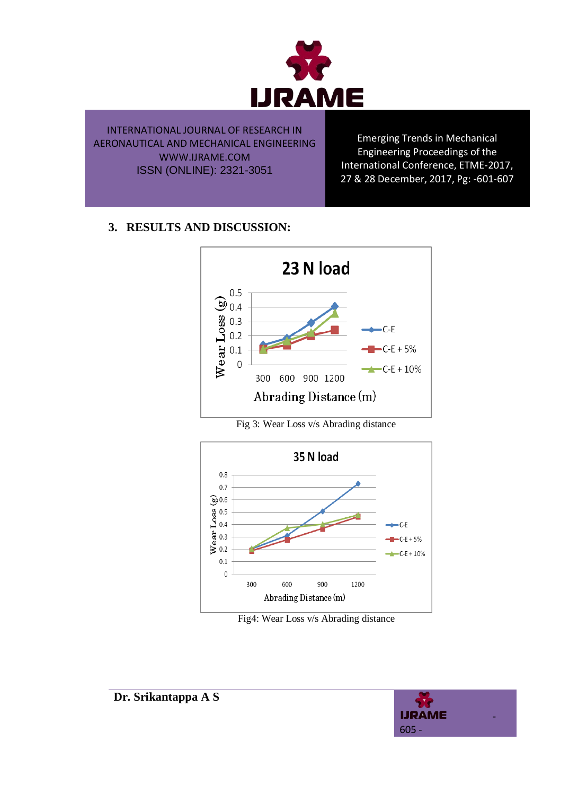

Emerging Trends in Mechanical Engineering Proceedings of the International Conference, ETME-2017, 27 & 28 December, 2017, Pg: -601-607

# **3. RESULTS AND DISCUSSION:**



Fig 3: Wear Loss v/s Abrading distance



Fig4: Wear Loss v/s Abrading distance

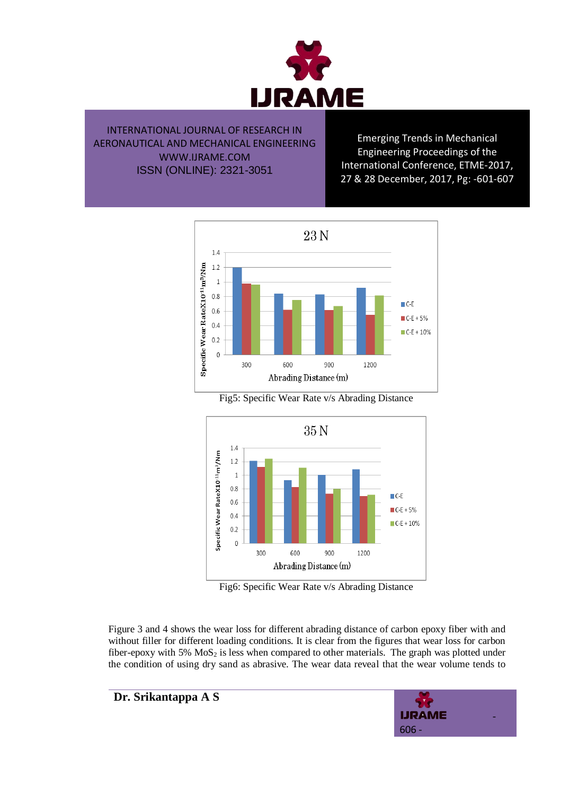

Emerging Trends in Mechanical Engineering Proceedings of the International Conference, ETME-2017, 27 & 28 December, 2017, Pg: -601-607



Fig5: Specific Wear Rate v/s Abrading Distance



Fig6: Specific Wear Rate v/s Abrading Distance

Figure 3 and 4 shows the wear loss for different abrading distance of carbon epoxy fiber with and without filler for different loading conditions. It is clear from the figures that wear loss for carbon fiber-epoxy with  $5\%$  MoS<sub>2</sub> is less when compared to other materials. The graph was plotted under the condition of using dry sand as abrasive. The wear data reveal that the wear volume tends to